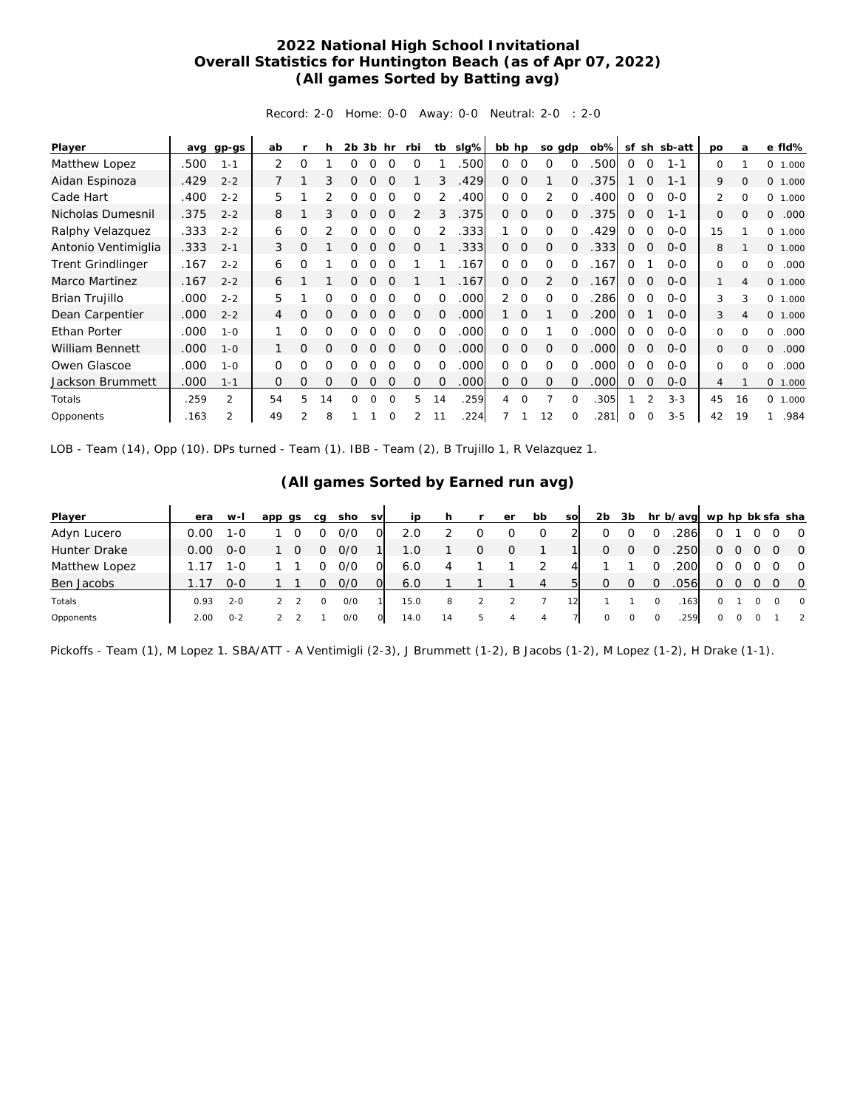## **2022 National High School Invitational Overall Statistics for Huntington Beach (as of Apr 07, 2022) (All games Sorted by Batting avg)**

Record: 2-0 Home: 0-0 Away: 0-0 Neutral: 2-0 : 2-0

| Player                   | avq  | gp-gs          | ab             |          | h  | 2b | 3b       | hr       | rbi      | tb       | slg% | bb hp    |             | so gdp       |          | $ob\%$ | sf       | sh            | sb-att  | po            | a              | e fld%     |
|--------------------------|------|----------------|----------------|----------|----|----|----------|----------|----------|----------|------|----------|-------------|--------------|----------|--------|----------|---------------|---------|---------------|----------------|------------|
| Matthew Lopez            | .500 | $1 - 1$        | 2              | Ω        |    | 0  |          |          |          |          | .500 | $\Omega$ | $\Omega$    | O            | $\Omega$ | .500   | $\Omega$ | $\Omega$      | $1 - 1$ | 0             |                | 0 1.000    |
| Aidan Espinoza           | .429 | $2 - 2$        |                |          | 3  | 0  | 0        | $\Omega$ |          | 3        | .429 | $\Omega$ | $\Omega$    |              | 0        | .375   |          | 0             | $1 - 1$ | 9             | $\mathbf{0}$   | 0 1.000    |
| Cade Hart                | .400 | $2 - 2$        | 5              |          |    | O  |          | $\Omega$ | O        |          | 400  | 0        | $\Omega$    | 2            | $\Omega$ | 400    | 0        | $\Omega$      | $0 - 0$ | $\mathcal{L}$ | $\Omega$       | O<br>1.000 |
| Nicholas Dumesnil        | .375 | $2 - 2$        | 8              |          | 3  | O  | $\Omega$ | $\Omega$ | 2        | 3        | .375 | $\Omega$ | 0           | $\Omega$     | $\Omega$ | .375   | 0        | 0             | $1 - 1$ | 0             | $\Omega$       | .000<br>0  |
| Ralphy Velazquez         | .333 | $2 - 2$        | 6              | 0        |    | 0  | Ω        | $\Omega$ | $\Omega$ |          | .333 |          | $\Omega$    | $\Omega$     | $\Omega$ | .429   | $\Omega$ | 0             | $0 - 0$ | 15            |                | 0 1.000    |
| Antonio Ventimiglia      | .333 | $2 - 1$        | 3              | $\Omega$ |    | 0  | O        | $\Omega$ | $\Omega$ |          | .333 | $\Omega$ | $\mathbf 0$ | $\mathbf{O}$ | $\Omega$ | .333   | 0        | $\mathbf 0$   | $O - O$ | 8             |                | 0 1.000    |
| <b>Trent Grindlinger</b> | .167 | $2 - 2$        | 6              | 0        |    | 0  | 0        | 0        |          |          | .167 | $\Omega$ | $\Omega$    | 0            | $\Omega$ | .167   | $\Omega$ |               | $0 - 0$ | 0             | $\Omega$       | .000<br>0  |
| <b>Marco Martinez</b>    | .167 | $2 - 2$        | 6              |          |    | 0  | 0        | $\Omega$ |          |          | .167 | $\Omega$ | $\Omega$    | 2            | $\Omega$ | .167   | $\Omega$ | 0             | $O - O$ | 1             | 4              | 0 1.000    |
| Brian Trujillo           | .000 | $2 - 2$        | 5              |          | O  |    |          |          | $\Omega$ | $\Omega$ | .000 | 2        | $\Omega$    | $\Omega$     | $\Omega$ | 286    | $\Omega$ | $\Omega$      | $0 - 0$ | 3             | 3              | 0 1.000    |
| Dean Carpentier          | .000 | $2 - 2$        | $\overline{4}$ | O        | O  | 0  | $\Omega$ | $\Omega$ | 0        | $\Omega$ | .000 |          | $\Omega$    |              | $\Omega$ | .200   | 0        |               | $0 - 0$ | 3             | $\overline{4}$ | 0 1.000    |
| Ethan Porter             | .000 | $1 - 0$        |                | Ω        | Ω  |    |          |          | $\Omega$ | $\Omega$ | .000 | 0        | $\Omega$    |              | $\Omega$ | .000   | $\Omega$ | $\Omega$      | $0 - 0$ | $\Omega$      | $\Omega$       | .000<br>0  |
| <b>William Bennett</b>   | .000 | $1 - 0$        |                | O        | O  | O  | Ο        | $\Omega$ | $\Omega$ | $\Omega$ | .000 | $\Omega$ | $\mathbf 0$ | $\mathbf 0$  | $\Omega$ | .000   | 0        | $\mathbf 0$   | $0 - 0$ | 0             | $\Omega$       | 0<br>.000  |
| Owen Glascoe             | .000 | $1 - 0$        | $\Omega$       | Ω        | O  | Ω  | O        | $\Omega$ | O        | $\Omega$ | .000 | 0        | $\Omega$    | $\Omega$     | $\Omega$ | .000   | 0        | $\Omega$      | $0 - 0$ | 0             | $\Omega$       | 0<br>.000  |
| Jackson Brummett         | .000 | $1 - 1$        | $\Omega$       | O        | O  | O  | Ο        | $\Omega$ | $\Omega$ | $\Omega$ | .000 | 0        | $\Omega$    | $\Omega$     | $\Omega$ | .000   | $\Omega$ | $\Omega$      | $0 - 0$ | 4             |                | 0 1.000    |
| Totals                   | .259 | $\mathfrak{D}$ | 54             | 5        | 14 | 0  | $\Omega$ | $\Omega$ | 5        | 14       | .259 | 4        | $\Omega$    |              | $\Omega$ | .305   |          | $\mathcal{P}$ | $3 - 3$ | 45            | 16             | 0<br>1.000 |
| Opponents                | .163 |                | 49             | 2        | 8  |    |          |          | 2        | 11       | 224  |          |             | 12           |          | .281   |          |               | $3 - 5$ | 42            | 19             | .984       |

LOB - Team (14), Opp (10). DPs turned - Team (1). IBB - Team (2), B Trujillo 1, R Velazquez 1.

## **(All games Sorted by Earned run avg)**

| Player              | era  | w-l     | app qs | ca | sho | <b>SV</b> | ip   |    |   | er | bb | <b>SO</b> | 2 <sub>b</sub> | 3b       |          | hr b/avg wp hp bk sfa sha |         |  |          |                |
|---------------------|------|---------|--------|----|-----|-----------|------|----|---|----|----|-----------|----------------|----------|----------|---------------------------|---------|--|----------|----------------|
| Adyn Lucero         | 0.00 | 1-0     |        |    | 0/0 | O         | 2.0  |    | 0 |    |    |           |                |          |          | .286                      | 0       |  |          | $\overline{0}$ |
| <b>Hunter Drake</b> | 0.00 | $O-O$   |        |    | 0/0 |           | 1.0  |    | 0 | 0  |    |           | 0              | $\Omega$ | $\Omega$ | .250                      | 0       |  |          | $\circ$        |
| Matthew Lopez       |      | 1-0     |        |    | 0/0 | 0         | 6.0  |    |   |    |    | 4         |                |          |          | .200                      | 0       |  |          | $\overline{0}$ |
| Ben Jacobs          |      | $0 - 0$ |        |    | 0/0 | $\Omega$  | 6.0  |    |   |    | 4  | 51        | O              |          | $\Omega$ | .056                      | 0       |  |          | $\overline{0}$ |
| Totals              | 0.93 | $2 - 0$ |        |    | O/O |           | 15.0 | 8  |   |    |    |           |                |          |          | .163                      | $\circ$ |  | $\Omega$ | $\overline{0}$ |
| Opponents           | 2.00 | $O - 2$ |        |    | O/O | $\circ$   | 14.0 | 14 | 5 | 4  | 4  |           | $\circ$        |          |          | .259                      | $\circ$ |  |          | $\overline{2}$ |

Pickoffs - Team (1), M Lopez 1. SBA/ATT - A Ventimigli (2-3), J Brummett (1-2), B Jacobs (1-2), M Lopez (1-2), H Drake (1-1).